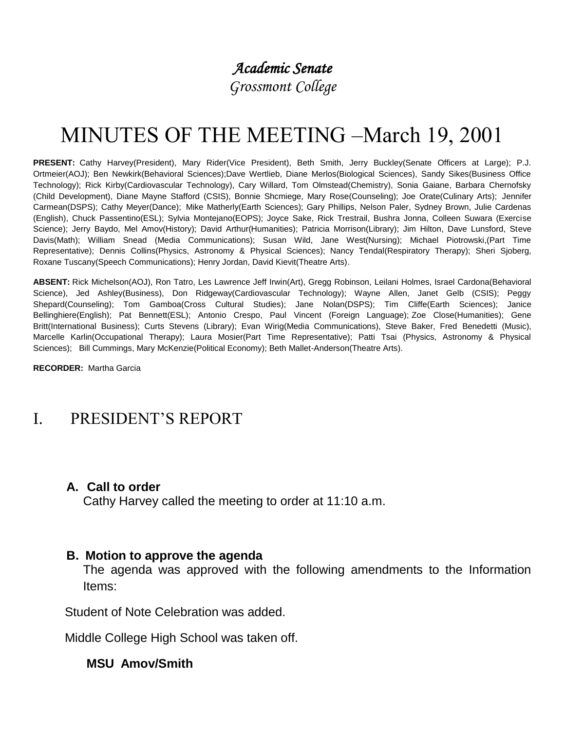# *Academic Senate*

*Grossmont College*

# MINUTES OF THE MEETING –March 19, 2001

**PRESENT:** Cathy Harvey(President), Mary Rider(Vice President), Beth Smith, Jerry Buckley(Senate Officers at Large); P.J. Ortmeier(AOJ); Ben Newkirk(Behavioral Sciences);Dave Wertlieb, Diane Merlos(Biological Sciences), Sandy Sikes(Business Office Technology); Rick Kirby(Cardiovascular Technology), Cary Willard, Tom Olmstead(Chemistry), Sonia Gaiane, Barbara Chernofsky (Child Development), Diane Mayne Stafford (CSIS), Bonnie Shcmiege, Mary Rose(Counseling); Joe Orate(Culinary Arts); Jennifer Carmean(DSPS); Cathy Meyer(Dance); Mike Matherly(Earth Sciences); Gary Phillips, Nelson Paler, Sydney Brown, Julie Cardenas (English), Chuck Passentino(ESL); Sylvia Montejano(EOPS); Joyce Sake, Rick Trestrail, Bushra Jonna, Colleen Suwara (Exercise Science); Jerry Baydo, Mel Amov(History); David Arthur(Humanities); Patricia Morrison(Library); Jim Hilton, Dave Lunsford, Steve Davis(Math); William Snead (Media Communications); Susan Wild, Jane West(Nursing); Michael Piotrowski,(Part Time Representative); Dennis Collins(Physics, Astronomy & Physical Sciences); Nancy Tendal(Respiratory Therapy); Sheri Sjoberg, Roxane Tuscany(Speech Communications); Henry Jordan, David Kievit(Theatre Arts).

**ABSENT:** Rick Michelson(AOJ), Ron Tatro, Les Lawrence Jeff Irwin(Art), Gregg Robinson, Leilani Holmes, Israel Cardona(Behavioral Science), Jed Ashley(Business), Don Ridgeway(Cardiovascular Technology); Wayne Allen, Janet Gelb (CSIS); Peggy Shepard(Counseling); Tom Gamboa(Cross Cultural Studies); Jane Nolan(DSPS); Tim Cliffe(Earth Sciences); Janice Bellinghiere(English); Pat Bennett(ESL); Antonio Crespo, Paul Vincent (Foreign Language); Zoe Close(Humanities); Gene Britt(International Business); Curts Stevens (Library); Evan Wirig(Media Communications), Steve Baker, Fred Benedetti (Music), Marcelle Karlin(Occupational Therapy); Laura Mosier(Part Time Representative); Patti Tsai (Physics, Astronomy & Physical Sciences); Bill Cummings, Mary McKenzie(Political Economy); Beth Mallet-Anderson(Theatre Arts).

**RECORDER:** Martha Garcia

# I. PRESIDENT'S REPORT

#### **A. Call to order**

Cathy Harvey called the meeting to order at 11:10 a.m.

#### **B. Motion to approve the agenda**

The agenda was approved with the following amendments to the Information Items:

Student of Note Celebration was added.

Middle College High School was taken off.

#### **MSU Amov/Smith**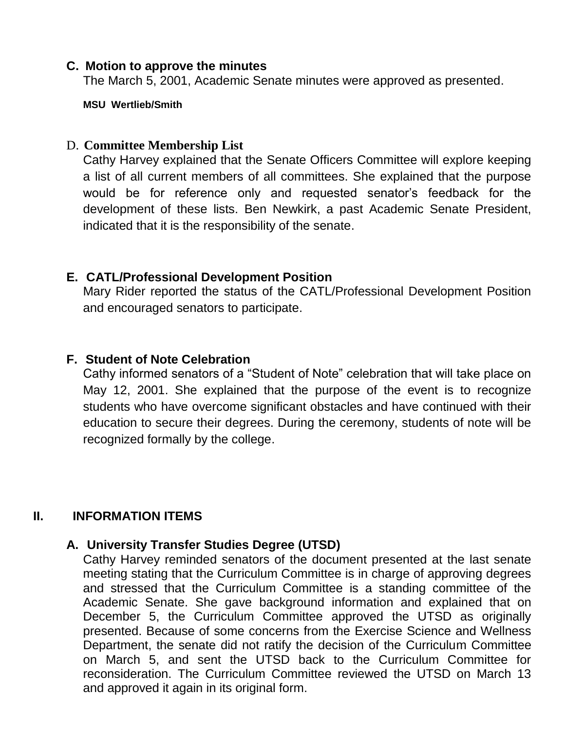#### **C. Motion to approve the minutes**

The March 5, 2001, Academic Senate minutes were approved as presented.

**MSU Wertlieb/Smith**

## D. **Committee Membership List**

Cathy Harvey explained that the Senate Officers Committee will explore keeping a list of all current members of all committees. She explained that the purpose would be for reference only and requested senator's feedback for the development of these lists. Ben Newkirk, a past Academic Senate President, indicated that it is the responsibility of the senate.

# **E. CATL/Professional Development Position**

Mary Rider reported the status of the CATL/Professional Development Position and encouraged senators to participate.

# **F. Student of Note Celebration**

Cathy informed senators of a "Student of Note" celebration that will take place on May 12, 2001. She explained that the purpose of the event is to recognize students who have overcome significant obstacles and have continued with their education to secure their degrees. During the ceremony, students of note will be recognized formally by the college.

# **II. INFORMATION ITEMS**

## **A. University Transfer Studies Degree (UTSD)**

Cathy Harvey reminded senators of the document presented at the last senate meeting stating that the Curriculum Committee is in charge of approving degrees and stressed that the Curriculum Committee is a standing committee of the Academic Senate. She gave background information and explained that on December 5, the Curriculum Committee approved the UTSD as originally presented. Because of some concerns from the Exercise Science and Wellness Department, the senate did not ratify the decision of the Curriculum Committee on March 5, and sent the UTSD back to the Curriculum Committee for reconsideration. The Curriculum Committee reviewed the UTSD on March 13 and approved it again in its original form.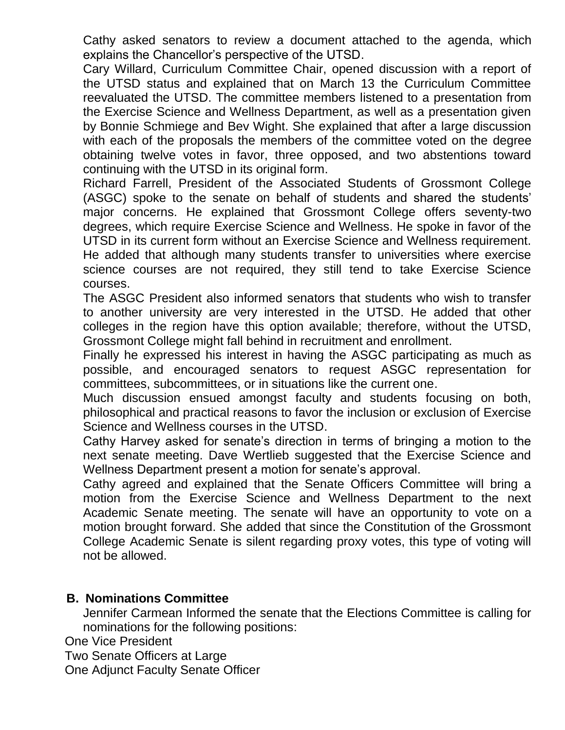Cathy asked senators to review a document attached to the agenda, which explains the Chancellor's perspective of the UTSD.

Cary Willard, Curriculum Committee Chair, opened discussion with a report of the UTSD status and explained that on March 13 the Curriculum Committee reevaluated the UTSD. The committee members listened to a presentation from the Exercise Science and Wellness Department, as well as a presentation given by Bonnie Schmiege and Bev Wight. She explained that after a large discussion with each of the proposals the members of the committee voted on the degree obtaining twelve votes in favor, three opposed, and two abstentions toward continuing with the UTSD in its original form.

Richard Farrell, President of the Associated Students of Grossmont College (ASGC) spoke to the senate on behalf of students and shared the students' major concerns. He explained that Grossmont College offers seventy-two degrees, which require Exercise Science and Wellness. He spoke in favor of the UTSD in its current form without an Exercise Science and Wellness requirement. He added that although many students transfer to universities where exercise science courses are not required, they still tend to take Exercise Science courses.

The ASGC President also informed senators that students who wish to transfer to another university are very interested in the UTSD. He added that other colleges in the region have this option available; therefore, without the UTSD, Grossmont College might fall behind in recruitment and enrollment.

Finally he expressed his interest in having the ASGC participating as much as possible, and encouraged senators to request ASGC representation for committees, subcommittees, or in situations like the current one.

Much discussion ensued amongst faculty and students focusing on both, philosophical and practical reasons to favor the inclusion or exclusion of Exercise Science and Wellness courses in the UTSD.

Cathy Harvey asked for senate's direction in terms of bringing a motion to the next senate meeting. Dave Wertlieb suggested that the Exercise Science and Wellness Department present a motion for senate's approval.

Cathy agreed and explained that the Senate Officers Committee will bring a motion from the Exercise Science and Wellness Department to the next Academic Senate meeting. The senate will have an opportunity to vote on a motion brought forward. She added that since the Constitution of the Grossmont College Academic Senate is silent regarding proxy votes, this type of voting will not be allowed.

## **B. Nominations Committee**

Jennifer Carmean Informed the senate that the Elections Committee is calling for nominations for the following positions:

One Vice President

Two Senate Officers at Large

One Adjunct Faculty Senate Officer